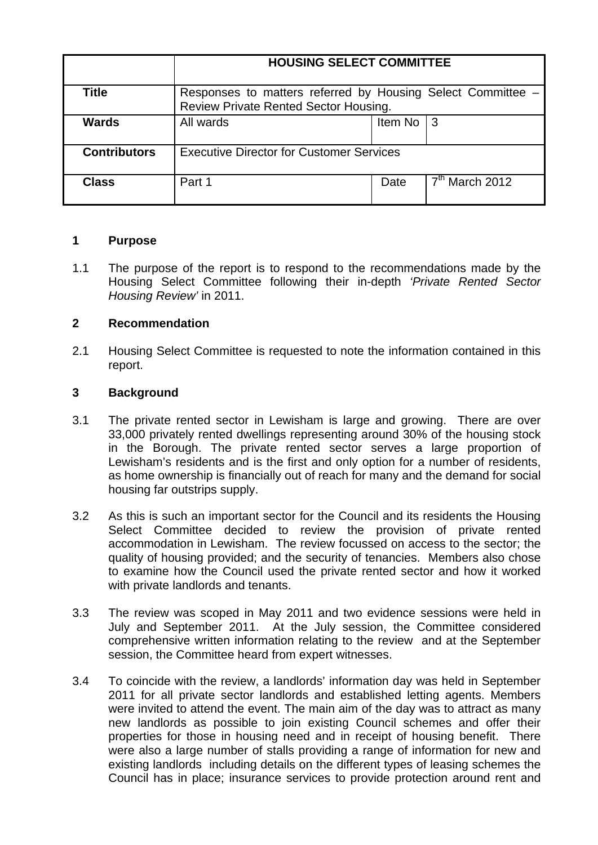|                     | <b>HOUSING SELECT COMMITTEE</b>                                                                      |         |                  |
|---------------------|------------------------------------------------------------------------------------------------------|---------|------------------|
| <b>Title</b>        | Responses to matters referred by Housing Select Committee –<br>Review Private Rented Sector Housing. |         |                  |
| <b>Wards</b>        | All wards                                                                                            | Item No | -3               |
| <b>Contributors</b> | <b>Executive Director for Customer Services</b>                                                      |         |                  |
| <b>Class</b>        | Part 1                                                                                               | Date    | $7th$ March 2012 |

### **1 Purpose**

1.1 The purpose of the report is to respond to the recommendations made by the Housing Select Committee following their in-depth *'Private Rented Sector Housing Review'* in 2011.

## **2 Recommendation**

2.1 Housing Select Committee is requested to note the information contained in this report.

## **3 Background**

- 3.1 The private rented sector in Lewisham is large and growing. There are over 33,000 privately rented dwellings representing around 30% of the housing stock in the Borough. The private rented sector serves a large proportion of Lewisham's residents and is the first and only option for a number of residents, as home ownership is financially out of reach for many and the demand for social housing far outstrips supply.
- 3.2 As this is such an important sector for the Council and its residents the Housing Select Committee decided to review the provision of private rented accommodation in Lewisham. The review focussed on access to the sector; the quality of housing provided; and the security of tenancies. Members also chose to examine how the Council used the private rented sector and how it worked with private landlords and tenants.
- 3.3 The review was scoped in May 2011 and two evidence sessions were held in July and September 2011. At the July session, the Committee considered comprehensive written information relating to the review and at the September session, the Committee heard from expert witnesses.
- 3.4 To coincide with the review, a landlords' information day was held in September 2011 for all private sector landlords and established letting agents. Members were invited to attend the event. The main aim of the day was to attract as many new landlords as possible to join existing Council schemes and offer their properties for those in housing need and in receipt of housing benefit. There were also a large number of stalls providing a range of information for new and existing landlords including details on the different types of leasing schemes the Council has in place; insurance services to provide protection around rent and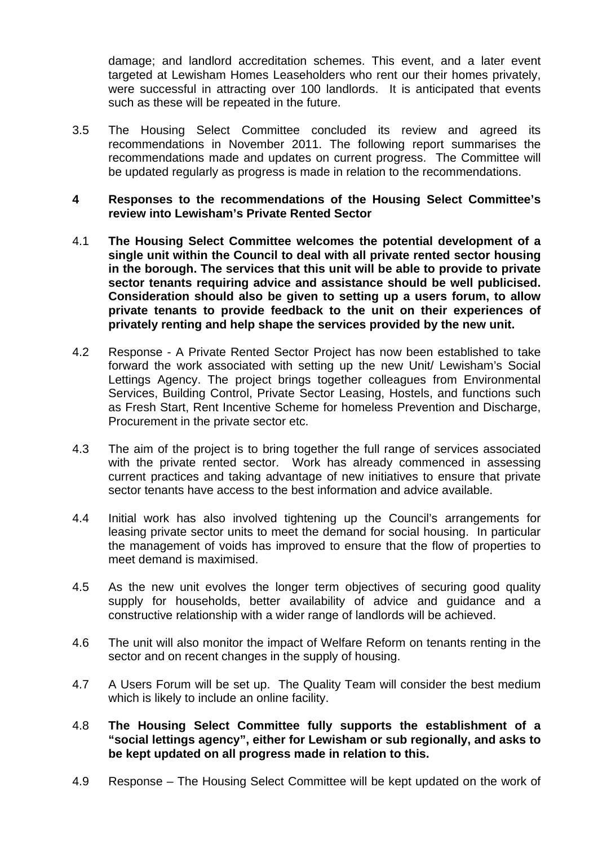damage; and landlord accreditation schemes. This event, and a later event targeted at Lewisham Homes Leaseholders who rent our their homes privately, were successful in attracting over 100 landlords. It is anticipated that events such as these will be repeated in the future.

- 3.5 The Housing Select Committee concluded its review and agreed its recommendations in November 2011. The following report summarises the recommendations made and updates on current progress. The Committee will be updated regularly as progress is made in relation to the recommendations.
- **4 Responses to the recommendations of the Housing Select Committee's review into Lewisham's Private Rented Sector**
- 4.1 **The Housing Select Committee welcomes the potential development of a single unit within the Council to deal with all private rented sector housing in the borough. The services that this unit will be able to provide to private sector tenants requiring advice and assistance should be well publicised. Consideration should also be given to setting up a users forum, to allow private tenants to provide feedback to the unit on their experiences of privately renting and help shape the services provided by the new unit.**
- 4.2 Response A Private Rented Sector Project has now been established to take forward the work associated with setting up the new Unit/ Lewisham's Social Lettings Agency. The project brings together colleagues from Environmental Services, Building Control, Private Sector Leasing, Hostels, and functions such as Fresh Start, Rent Incentive Scheme for homeless Prevention and Discharge, Procurement in the private sector etc.
- 4.3 The aim of the project is to bring together the full range of services associated with the private rented sector. Work has already commenced in assessing current practices and taking advantage of new initiatives to ensure that private sector tenants have access to the best information and advice available.
- 4.4 Initial work has also involved tightening up the Council's arrangements for leasing private sector units to meet the demand for social housing. In particular the management of voids has improved to ensure that the flow of properties to meet demand is maximised.
- 4.5 As the new unit evolves the longer term objectives of securing good quality supply for households, better availability of advice and guidance and a constructive relationship with a wider range of landlords will be achieved.
- 4.6 The unit will also monitor the impact of Welfare Reform on tenants renting in the sector and on recent changes in the supply of housing.
- 4.7 A Users Forum will be set up. The Quality Team will consider the best medium which is likely to include an online facility.
- 4.8 **The Housing Select Committee fully supports the establishment of a "social lettings agency", either for Lewisham or sub regionally, and asks to be kept updated on all progress made in relation to this.**
- 4.9 Response The Housing Select Committee will be kept updated on the work of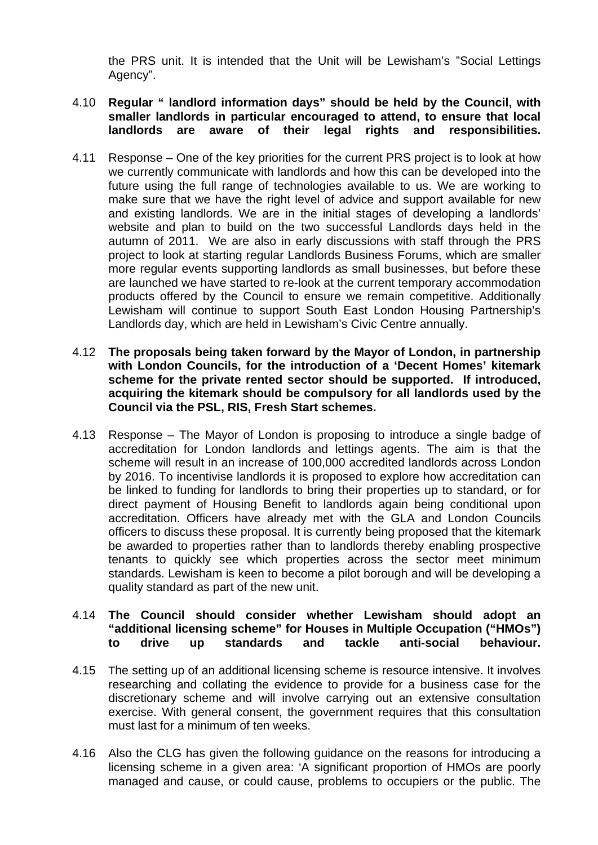the PRS unit. It is intended that the Unit will be Lewisham's "Social Lettings Agency".

#### 4.10 **Regular " landlord information days" should be held by the Council, with smaller landlords in particular encouraged to attend, to ensure that local landlords are aware of their legal rights and responsibilities.**

- 4.11 Response One of the key priorities for the current PRS project is to look at how we currently communicate with landlords and how this can be developed into the future using the full range of technologies available to us. We are working to make sure that we have the right level of advice and support available for new and existing landlords. We are in the initial stages of developing a landlords' website and plan to build on the two successful Landlords days held in the autumn of 2011. We are also in early discussions with staff through the PRS project to look at starting regular Landlords Business Forums, which are smaller more regular events supporting landlords as small businesses, but before these are launched we have started to re-look at the current temporary accommodation products offered by the Council to ensure we remain competitive. Additionally Lewisham will continue to support South East London Housing Partnership's Landlords day, which are held in Lewisham's Civic Centre annually.
- 4.12 **The proposals being taken forward by the Mayor of London, in partnership with London Councils, for the introduction of a 'Decent Homes' kitemark scheme for the private rented sector should be supported. If introduced, acquiring the kitemark should be compulsory for all landlords used by the Council via the PSL, RIS, Fresh Start schemes.**
- 4.13 Response The Mayor of London is proposing to introduce a single badge of accreditation for London landlords and lettings agents. The aim is that the scheme will result in an increase of 100,000 accredited landlords across London by 2016. To incentivise landlords it is proposed to explore how accreditation can be linked to funding for landlords to bring their properties up to standard, or for direct payment of Housing Benefit to landlords again being conditional upon accreditation. Officers have already met with the GLA and London Councils officers to discuss these proposal. It is currently being proposed that the kitemark be awarded to properties rather than to landlords thereby enabling prospective tenants to quickly see which properties across the sector meet minimum standards. Lewisham is keen to become a pilot borough and will be developing a quality standard as part of the new unit.

#### 4.14 **The Council should consider whether Lewisham should adopt an "additional licensing scheme" for Houses in Multiple Occupation ("HMOs") to drive up standards and tackle anti-social behaviour.**

- 4.15 The setting up of an additional licensing scheme is resource intensive. It involves researching and collating the evidence to provide for a business case for the discretionary scheme and will involve carrying out an extensive consultation exercise. With general consent, the government requires that this consultation must last for a minimum of ten weeks.
- 4.16 Also the CLG has given the following guidance on the reasons for introducing a licensing scheme in a given area: 'A significant proportion of HMOs are poorly managed and cause, or could cause, problems to occupiers or the public. The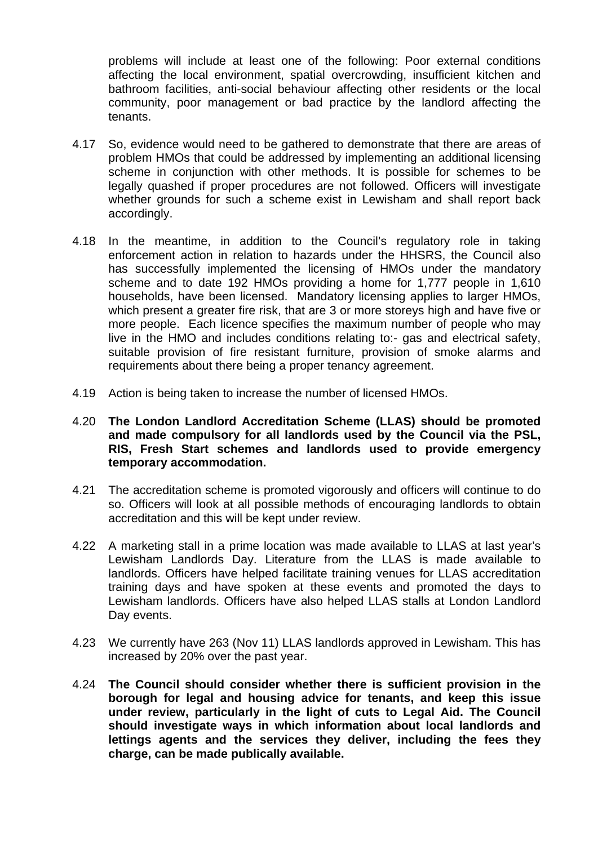problems will include at least one of the following: Poor external conditions affecting the local environment, spatial overcrowding, insufficient kitchen and bathroom facilities, anti-social behaviour affecting other residents or the local community, poor management or bad practice by the landlord affecting the tenants.

- 4.17 So, evidence would need to be gathered to demonstrate that there are areas of problem HMOs that could be addressed by implementing an additional licensing scheme in conjunction with other methods. It is possible for schemes to be legally quashed if proper procedures are not followed. Officers will investigate whether grounds for such a scheme exist in Lewisham and shall report back accordingly.
- 4.18 In the meantime, in addition to the Council's regulatory role in taking enforcement action in relation to hazards under the HHSRS, the Council also has successfully implemented the licensing of HMOs under the mandatory scheme and to date 192 HMOs providing a home for 1,777 people in 1,610 households, have been licensed. Mandatory licensing applies to larger HMOs, which present a greater fire risk, that are 3 or more storeys high and have five or more people. Each licence specifies the maximum number of people who may live in the HMO and includes conditions relating to:- gas and electrical safety, suitable provision of fire resistant furniture, provision of smoke alarms and requirements about there being a proper tenancy agreement.
- 4.19 Action is being taken to increase the number of licensed HMOs.
- 4.20 **The London Landlord Accreditation Scheme (LLAS) should be promoted and made compulsory for all landlords used by the Council via the PSL, RIS, Fresh Start schemes and landlords used to provide emergency temporary accommodation.**
- 4.21 The accreditation scheme is promoted vigorously and officers will continue to do so. Officers will look at all possible methods of encouraging landlords to obtain accreditation and this will be kept under review.
- 4.22 A marketing stall in a prime location was made available to LLAS at last year's Lewisham Landlords Day. Literature from the LLAS is made available to landlords. Officers have helped facilitate training venues for LLAS accreditation training days and have spoken at these events and promoted the days to Lewisham landlords. Officers have also helped LLAS stalls at London Landlord Day events.
- 4.23 We currently have 263 (Nov 11) LLAS landlords approved in Lewisham. This has increased by 20% over the past year.
- 4.24 **The Council should consider whether there is sufficient provision in the borough for legal and housing advice for tenants, and keep this issue under review, particularly in the light of cuts to Legal Aid. The Council should investigate ways in which information about local landlords and lettings agents and the services they deliver, including the fees they charge, can be made publically available.**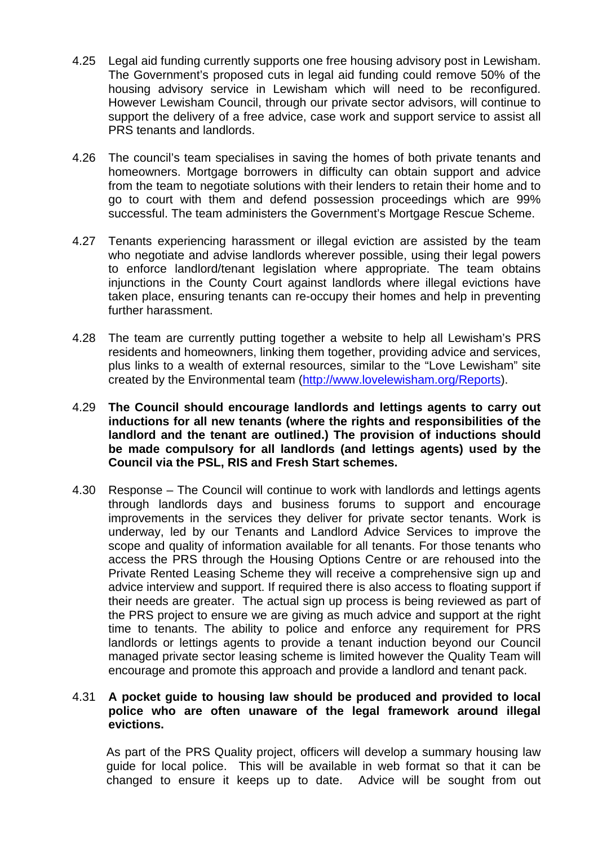- 4.25 Legal aid funding currently supports one free housing advisory post in Lewisham. The Government's proposed cuts in legal aid funding could remove 50% of the housing advisory service in Lewisham which will need to be reconfigured. However Lewisham Council, through our private sector advisors, will continue to support the delivery of a free advice, case work and support service to assist all PRS tenants and landlords.
- 4.26 The council's team specialises in saving the homes of both private tenants and homeowners. Mortgage borrowers in difficulty can obtain support and advice from the team to negotiate solutions with their lenders to retain their home and to go to court with them and defend possession proceedings which are 99% successful. The team administers the Government's Mortgage Rescue Scheme.
- 4.27 Tenants experiencing harassment or illegal eviction are assisted by the team who negotiate and advise landlords wherever possible, using their legal powers to enforce landlord/tenant legislation where appropriate. The team obtains injunctions in the County Court against landlords where illegal evictions have taken place, ensuring tenants can re-occupy their homes and help in preventing further harassment.
- 4.28 The team are currently putting together a website to help all Lewisham's PRS residents and homeowners, linking them together, providing advice and services, plus links to a wealth of external resources, similar to the "Love Lewisham" site created by the Environmental team (http://www.lovelewisham.org/Reports).
- 4.29 **The Council should encourage landlords and lettings agents to carry out inductions for all new tenants (where the rights and responsibilities of the landlord and the tenant are outlined.) The provision of inductions should be made compulsory for all landlords (and lettings agents) used by the Council via the PSL, RIS and Fresh Start schemes.**
- 4.30 Response The Council will continue to work with landlords and lettings agents through landlords days and business forums to support and encourage improvements in the services they deliver for private sector tenants. Work is underway, led by our Tenants and Landlord Advice Services to improve the scope and quality of information available for all tenants. For those tenants who access the PRS through the Housing Options Centre or are rehoused into the Private Rented Leasing Scheme they will receive a comprehensive sign up and advice interview and support. If required there is also access to floating support if their needs are greater. The actual sign up process is being reviewed as part of the PRS project to ensure we are giving as much advice and support at the right time to tenants. The ability to police and enforce any requirement for PRS landlords or lettings agents to provide a tenant induction beyond our Council managed private sector leasing scheme is limited however the Quality Team will encourage and promote this approach and provide a landlord and tenant pack.

### 4.31 **A pocket guide to housing law should be produced and provided to local police who are often unaware of the legal framework around illegal evictions.**

As part of the PRS Quality project, officers will develop a summary housing law guide for local police. This will be available in web format so that it can be changed to ensure it keeps up to date. Advice will be sought from out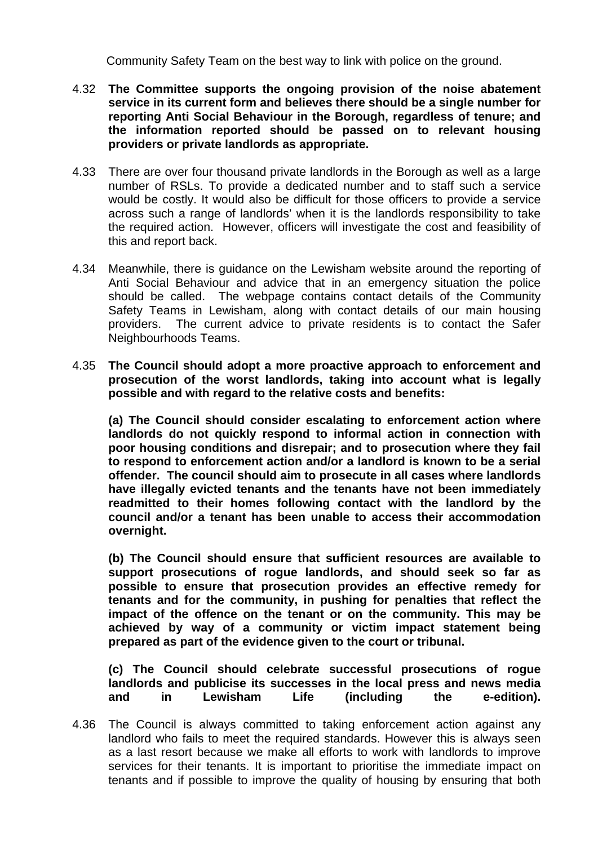Community Safety Team on the best way to link with police on the ground.

- 4.32 **The Committee supports the ongoing provision of the noise abatement service in its current form and believes there should be a single number for reporting Anti Social Behaviour in the Borough, regardless of tenure; and the information reported should be passed on to relevant housing providers or private landlords as appropriate.**
- 4.33 There are over four thousand private landlords in the Borough as well as a large number of RSLs. To provide a dedicated number and to staff such a service would be costly. It would also be difficult for those officers to provide a service across such a range of landlords' when it is the landlords responsibility to take the required action. However, officers will investigate the cost and feasibility of this and report back.
- 4.34 Meanwhile, there is guidance on the Lewisham website around the reporting of Anti Social Behaviour and advice that in an emergency situation the police should be called. The webpage contains contact details of the Community Safety Teams in Lewisham, along with contact details of our main housing providers. The current advice to private residents is to contact the Safer Neighbourhoods Teams.
- 4.35 **The Council should adopt a more proactive approach to enforcement and prosecution of the worst landlords, taking into account what is legally possible and with regard to the relative costs and benefits:**

**(a) The Council should consider escalating to enforcement action where landlords do not quickly respond to informal action in connection with poor housing conditions and disrepair; and to prosecution where they fail to respond to enforcement action and/or a landlord is known to be a serial offender. The council should aim to prosecute in all cases where landlords have illegally evicted tenants and the tenants have not been immediately readmitted to their homes following contact with the landlord by the council and/or a tenant has been unable to access their accommodation overnight.** 

**(b) The Council should ensure that sufficient resources are available to support prosecutions of rogue landlords, and should seek so far as possible to ensure that prosecution provides an effective remedy for tenants and for the community, in pushing for penalties that reflect the impact of the offence on the tenant or on the community. This may be achieved by way of a community or victim impact statement being prepared as part of the evidence given to the court or tribunal.** 

**(c) The Council should celebrate successful prosecutions of rogue landlords and publicise its successes in the local press and news media and in Lewisham Life (including the e-edition).**

4.36 The Council is always committed to taking enforcement action against any landlord who fails to meet the required standards. However this is always seen as a last resort because we make all efforts to work with landlords to improve services for their tenants. It is important to prioritise the immediate impact on tenants and if possible to improve the quality of housing by ensuring that both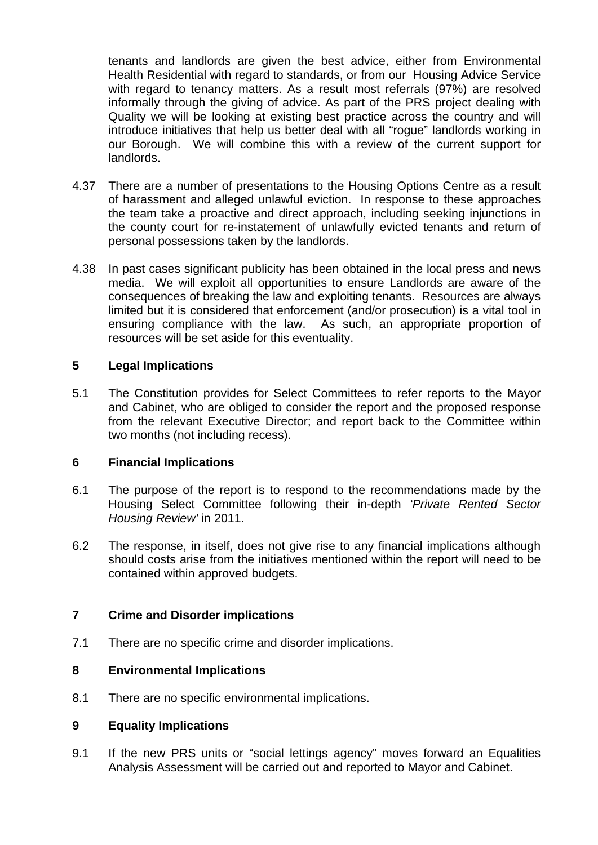tenants and landlords are given the best advice, either from Environmental Health Residential with regard to standards, or from our Housing Advice Service with regard to tenancy matters. As a result most referrals (97%) are resolved informally through the giving of advice. As part of the PRS project dealing with Quality we will be looking at existing best practice across the country and will introduce initiatives that help us better deal with all "rogue" landlords working in our Borough. We will combine this with a review of the current support for landlords.

- 4.37 There are a number of presentations to the Housing Options Centre as a result of harassment and alleged unlawful eviction. In response to these approaches the team take a proactive and direct approach, including seeking injunctions in the county court for re-instatement of unlawfully evicted tenants and return of personal possessions taken by the landlords.
- 4.38 In past cases significant publicity has been obtained in the local press and news media. We will exploit all opportunities to ensure Landlords are aware of the consequences of breaking the law and exploiting tenants. Resources are always limited but it is considered that enforcement (and/or prosecution) is a vital tool in ensuring compliance with the law. As such, an appropriate proportion of resources will be set aside for this eventuality.

### **5 Legal Implications**

5.1 The Constitution provides for Select Committees to refer reports to the Mayor and Cabinet, who are obliged to consider the report and the proposed response from the relevant Executive Director; and report back to the Committee within two months (not including recess).

### **6 Financial Implications**

- 6.1 The purpose of the report is to respond to the recommendations made by the Housing Select Committee following their in-depth *'Private Rented Sector Housing Review'* in 2011.
- 6.2 The response, in itself, does not give rise to any financial implications although should costs arise from the initiatives mentioned within the report will need to be contained within approved budgets.

### **7 Crime and Disorder implications**

7.1 There are no specific crime and disorder implications.

### **8 Environmental Implications**

8.1 There are no specific environmental implications.

### **9 Equality Implications**

9.1 If the new PRS units or "social lettings agency" moves forward an Equalities Analysis Assessment will be carried out and reported to Mayor and Cabinet.